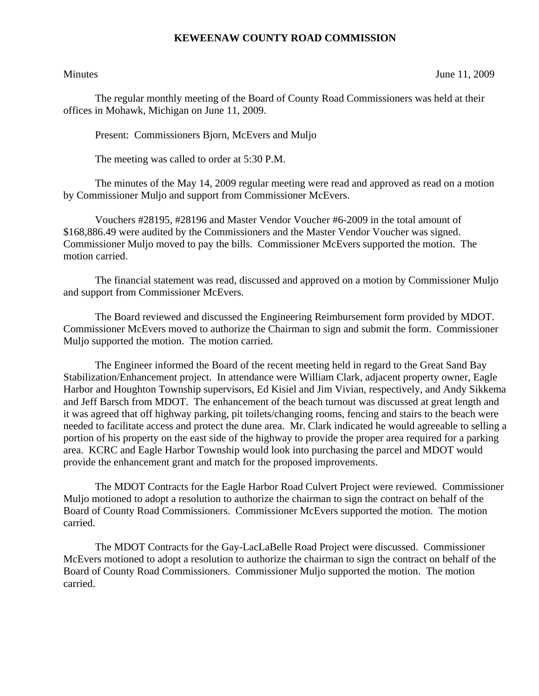## **KEWEENAW COUNTY ROAD COMMISSION**

Minutes June 11, 2009

The regular monthly meeting of the Board of County Road Commissioners was held at their offices in Mohawk, Michigan on June 11, 2009.

Present: Commissioners Bjorn, McEvers and Muljo

The meeting was called to order at 5:30 P.M.

 The minutes of the May 14, 2009 regular meeting were read and approved as read on a motion by Commissioner Muljo and support from Commissioner McEvers.

 Vouchers #28195, #28196 and Master Vendor Voucher #6-2009 in the total amount of \$168,886.49 were audited by the Commissioners and the Master Vendor Voucher was signed. Commissioner Muljo moved to pay the bills. Commissioner McEvers supported the motion. The motion carried.

 The financial statement was read, discussed and approved on a motion by Commissioner Muljo and support from Commissioner McEvers.

 The Board reviewed and discussed the Engineering Reimbursement form provided by MDOT. Commissioner McEvers moved to authorize the Chairman to sign and submit the form. Commissioner Muljo supported the motion. The motion carried.

 The Engineer informed the Board of the recent meeting held in regard to the Great Sand Bay Stabilization/Enhancement project. In attendance were William Clark, adjacent property owner, Eagle Harbor and Houghton Township supervisors, Ed Kisiel and Jim Vivian, respectively, and Andy Sikkema and Jeff Barsch from MDOT. The enhancement of the beach turnout was discussed at great length and it was agreed that off highway parking, pit toilets/changing rooms, fencing and stairs to the beach were needed to facilitate access and protect the dune area. Mr. Clark indicated he would agreeable to selling a portion of his property on the east side of the highway to provide the proper area required for a parking area. KCRC and Eagle Harbor Township would look into purchasing the parcel and MDOT would provide the enhancement grant and match for the proposed improvements.

 The MDOT Contracts for the Eagle Harbor Road Culvert Project were reviewed. Commissioner Muljo motioned to adopt a resolution to authorize the chairman to sign the contract on behalf of the Board of County Road Commissioners. Commissioner McEvers supported the motion. The motion carried.

 The MDOT Contracts for the Gay-LacLaBelle Road Project were discussed. Commissioner McEvers motioned to adopt a resolution to authorize the chairman to sign the contract on behalf of the Board of County Road Commissioners. Commissioner Muljo supported the motion. The motion carried.